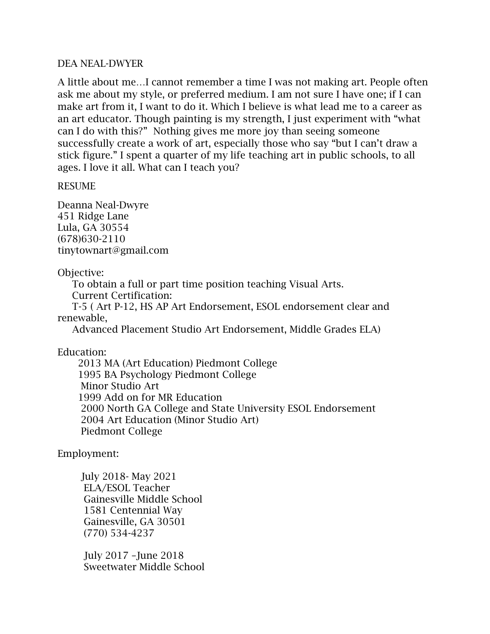#### DEA NEAL-DWYER

A little about me…I cannot remember a time I was not making art. People often ask me about my style, or preferred medium. I am not sure I have one; if I can make art from it, I want to do it. Which I believe is what lead me to a career as an art educator. Though painting is my strength, I just experiment with "what can I do with this?" Nothing gives me more joy than seeing someone successfully create a work of art, especially those who say "but I can't draw a stick figure." I spent a quarter of my life teaching art in public schools, to all ages. I love it all. What can I teach you?

#### RESUME

Deanna Neal-Dwyre 451 Ridge Lane Lula, GA 30554 (678)630-2110 tinytownart@gmail.com

# Objective:

 To obtain a full or part time position teaching Visual Arts. Current Certification:

T-5 ( Art P-12, HS AP Art Endorsement, ESOL endorsement clear and

# renewable,

Advanced Placement Studio Art Endorsement, Middle Grades ELA)

## Education:

 2013 MA (Art Education) Piedmont College 1995 BA Psychology Piedmont College Minor Studio Art 1999 Add on for MR Education 2000 North GA College and State University ESOL Endorsement 2004 Art Education (Minor Studio Art) Piedmont College

## Employment:

 July 2018- May 2021 ELA/ESOL Teacher Gainesville Middle School 1581 Centennial Way Gainesville, GA 30501 (770) 534-4237

 July 2017 –June 2018 Sweetwater Middle School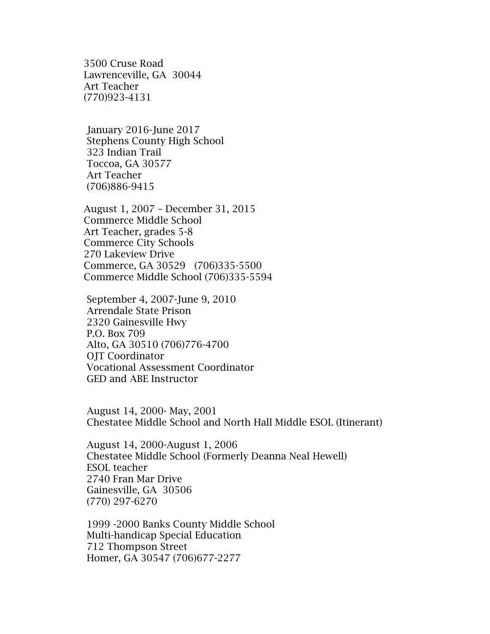3500 Cruse Road Lawrenceville, GA 30044 Art Teacher (770)923-4131

 January 2016-June 2017 Stephens County High School 323 Indian Trail Toccoa, GA 30577 Art Teacher (706)886-9415

 August 1, 2007 – December 31, 2015 Commerce Middle School Art Teacher, grades 5-8 Commerce City Schools 270 Lakeview Drive Commerce, GA 30529 (706)335-5500 Commerce Middle School (706)335-5594

 September 4, 2007-June 9, 2010 Arrendale State Prison 2320 Gainesville Hwy P.O. Box 709 Alto, GA 30510 (706)776-4700 OJT Coordinator Vocational Assessment Coordinator GED and ABE Instructor

 August 14, 2000- May, 2001 Chestatee Middle School and North Hall Middle ESOL (Itinerant)

 August 14, 2000-August 1, 2006 Chestatee Middle School (Formerly Deanna Neal Hewell) ESOL teacher 2740 Fran Mar Drive Gainesville, GA 30506 (770) 297-6270

 1999 -2000 Banks County Middle School Multi-handicap Special Education 712 Thompson Street Homer, GA 30547 (706)677-2277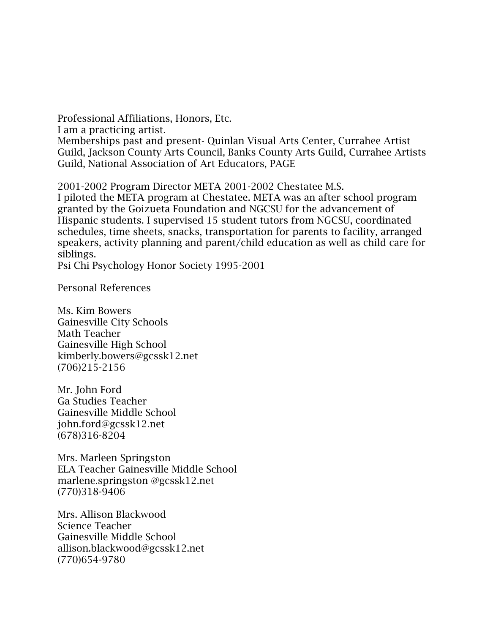Professional Affiliations, Honors, Etc.

I am a practicing artist.

Memberships past and present- Quinlan Visual Arts Center, Currahee Artist Guild, Jackson County Arts Council, Banks County Arts Guild, Currahee Artists Guild, National Association of Art Educators, PAGE

2001-2002 Program Director META 2001-2002 Chestatee M.S.

I piloted the META program at Chestatee. META was an after school program granted by the Goizueta Foundation and NGCSU for the advancement of Hispanic students. I supervised 15 student tutors from NGCSU, coordinated schedules, time sheets, snacks, transportation for parents to facility, arranged speakers, activity planning and parent/child education as well as child care for siblings.

Psi Chi Psychology Honor Society 1995-2001

Personal References

Ms. Kim Bowers Gainesville City Schools Math Teacher Gainesville High School kimberly.bowers@gcssk12.net (706)215-2156

Mr. John Ford Ga Studies Teacher Gainesville Middle School john.ford@gcssk12.net (678)316-8204

Mrs. Marleen Springston ELA Teacher Gainesville Middle School marlene.springston @gcssk12.net (770)318-9406

Mrs. Allison Blackwood Science Teacher Gainesville Middle School allison.blackwood@gcssk12.net (770)654-9780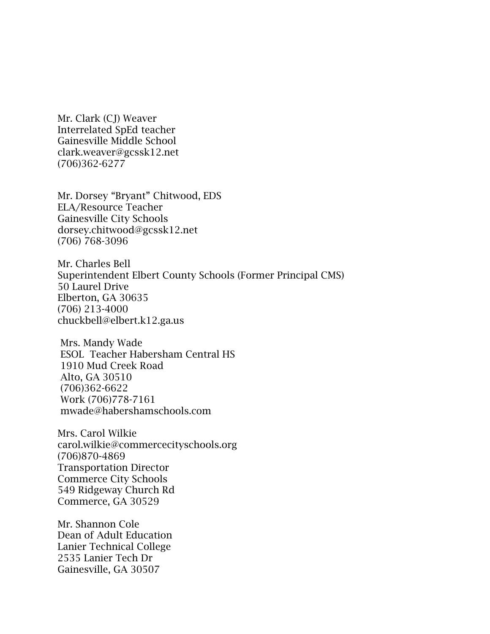Mr. Clark (CJ) Weaver Interrelated SpEd teacher Gainesville Middle School clark.weaver@gcssk12.net (706)362-6277

Mr. Dorsey "Bryant" Chitwood, EDS ELA/Resource Teacher Gainesville City Schools dorsey.chitwood@gcssk12.net (706) 768-3096

Mr. Charles Bell Superintendent Elbert County Schools (Former Principal CMS) 50 Laurel Drive Elberton, GA 30635 (706) 213-4000 chuckbell@elbert.k12.ga.us

Mrs. Mandy Wade ESOL Teacher Habersham Central HS 1910 Mud Creek Road Alto, GA 30510 (706)362-6622 Work (706)778-7161 mwade@habershamschools.com

Mrs. Carol Wilkie carol.wilkie@commercecityschools.org (706)870-4869 Transportation Director Commerce City Schools 549 Ridgeway Church Rd Commerce, GA 30529

Mr. Shannon Cole Dean of Adult Education Lanier Technical College 2535 Lanier Tech Dr Gainesville, GA 30507